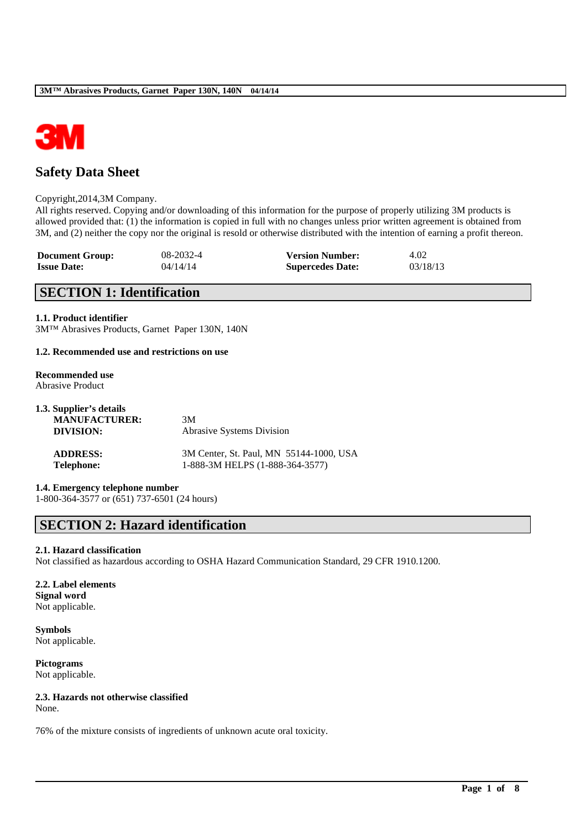

# **Safety Data Sheet**

### Copyright,2014,3M Company.

All rights reserved. Copying and/or downloading of this information for the purpose of properly utilizing 3M products is allowed provided that: (1) the information is copied in full with no changes unless prior written agreement is obtained from 3M, and (2) neither the copy nor the original is resold or otherwise distributed with the intention of earning a profit thereon.

| <b>Document Group:</b> | 08-2032-4 | <b>Version Number:</b>  | 4.02     |
|------------------------|-----------|-------------------------|----------|
| <b>Issue Date:</b>     | 04/14/14  | <b>Supercedes Date:</b> | 03/18/13 |

# **SECTION 1: Identification**

### **1.1. Product identifier**

3M™ Abrasives Products, Garnet Paper 130N, 140N

### **1.2. Recommended use and restrictions on use**

#### **Recommended use** Abrasive Product

| 1.3. Supplier's details |                                         |
|-------------------------|-----------------------------------------|
| <b>MANUFACTURER:</b>    | 3M                                      |
| DIVISION:               | <b>Abrasive Systems Division</b>        |
| <b>ADDRESS:</b>         | 3M Center, St. Paul, MN 55144-1000, USA |
| <b>Telephone:</b>       | 1-888-3M HELPS (1-888-364-3577)         |

# **1.4. Emergency telephone number**

1-800-364-3577 or (651) 737-6501 (24 hours)

# **SECTION 2: Hazard identification**

# **2.1. Hazard classification**

Not classified as hazardous according to OSHA Hazard Communication Standard, 29 CFR 1910.1200.

\_\_\_\_\_\_\_\_\_\_\_\_\_\_\_\_\_\_\_\_\_\_\_\_\_\_\_\_\_\_\_\_\_\_\_\_\_\_\_\_\_\_\_\_\_\_\_\_\_\_\_\_\_\_\_\_\_\_\_\_\_\_\_\_\_\_\_\_\_\_\_\_\_\_\_\_\_\_\_\_\_\_\_\_\_\_\_\_\_\_

### **2.2. Label elements Signal word** Not applicable.

**Symbols** Not applicable.

**Pictograms** Not applicable.

# **2.3. Hazards not otherwise classified**

None.

76% of the mixture consists of ingredients of unknown acute oral toxicity.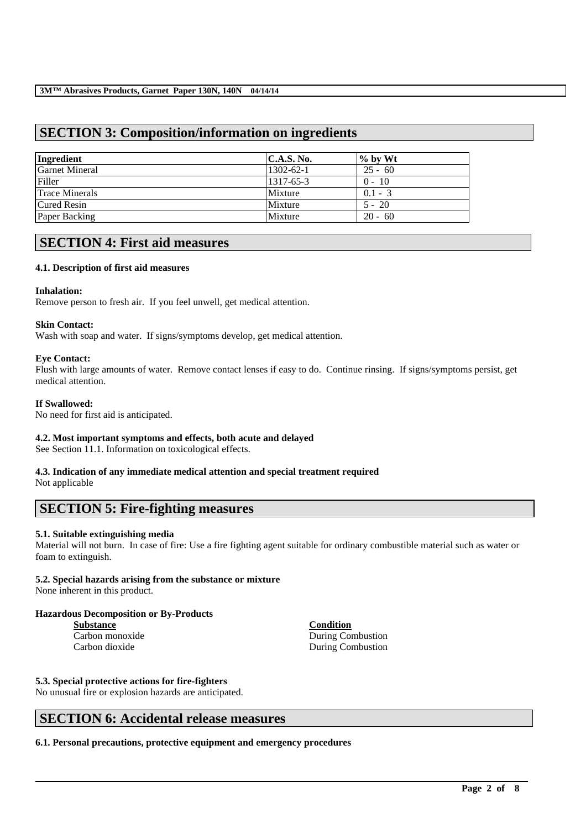# **SECTION 3: Composition/information on ingredients**

| Ingredient            | C.A.S. No.      | $\%$ by Wt |
|-----------------------|-----------------|------------|
| <b>Garnet Mineral</b> | $1302 - 62 - 1$ | $25 - 60$  |
| Filler                | 1317-65-3       | $0 - 10$   |
| <b>Trace Minerals</b> | Mixture         | $0.1 - 3$  |
| <b>Cured Resin</b>    | Mixture         | $5 - 20$   |
| Paper Backing         | Mixture         | $20 - 60$  |

# **SECTION 4: First aid measures**

# **4.1. Description of first aid measures**

### **Inhalation:**

Remove person to fresh air. If you feel unwell, get medical attention.

### **Skin Contact:**

Wash with soap and water. If signs/symptoms develop, get medical attention.

### **Eye Contact:**

Flush with large amounts of water. Remove contact lenses if easy to do. Continue rinsing. If signs/symptoms persist, get medical attention.

### **If Swallowed:**

No need for first aid is anticipated.

# **4.2. Most important symptoms and effects, both acute and delayed**

See Section 11.1. Information on toxicological effects.

# **4.3. Indication of any immediate medical attention and special treatment required**

Not applicable

# **SECTION 5: Fire-fighting measures**

# **5.1. Suitable extinguishing media**

Material will not burn. In case of fire: Use a fire fighting agent suitable for ordinary combustible material such as water or foam to extinguish.

\_\_\_\_\_\_\_\_\_\_\_\_\_\_\_\_\_\_\_\_\_\_\_\_\_\_\_\_\_\_\_\_\_\_\_\_\_\_\_\_\_\_\_\_\_\_\_\_\_\_\_\_\_\_\_\_\_\_\_\_\_\_\_\_\_\_\_\_\_\_\_\_\_\_\_\_\_\_\_\_\_\_\_\_\_\_\_\_\_\_

# **5.2. Special hazards arising from the substance or mixture**

None inherent in this product.

# **Hazardous Decomposition or By-Products**

**Substance Condition**

Carbon monoxide During Combustion Carbon dioxide During Combustion

# **5.3. Special protective actions for fire-fighters**

No unusual fire or explosion hazards are anticipated.

# **SECTION 6: Accidental release measures**

**6.1. Personal precautions, protective equipment and emergency procedures**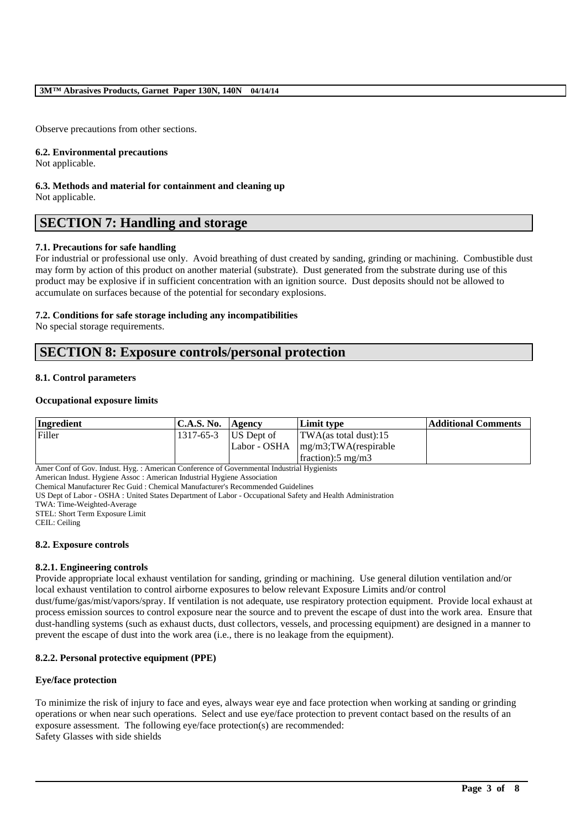Observe precautions from other sections.

#### **6.2. Environmental precautions**

Not applicable.

#### **6.3. Methods and material for containment and cleaning up** Not applicable.

# **SECTION 7: Handling and storage**

# **7.1. Precautions for safe handling**

For industrial or professional use only. Avoid breathing of dust created by sanding, grinding or machining. Combustible dust may form by action of this product on another material (substrate). Dust generated from the substrate during use of this product may be explosive if in sufficient concentration with an ignition source. Dust deposits should not be allowed to accumulate on surfaces because of the potential for secondary explosions.

### **7.2. Conditions for safe storage including any incompatibilities**

No special storage requirements.

# **SECTION 8: Exposure controls/personal protection**

### **8.1. Control parameters**

### **Occupational exposure limits**

| Ingredient | <b>C.A.S. No.</b> | <b>Agency</b> | Limit type                                                  | Additional Comments |
|------------|-------------------|---------------|-------------------------------------------------------------|---------------------|
| Filler     | 1317-65-3         | US Dept of    | $\text{TWA}$ (as total dust):15                             |                     |
|            |                   |               | $\text{Labor} - \text{OSHA}$ $\text{mg/m3;TWA}$ (respirable |                     |
|            |                   |               | fraction: $5 \text{ mg/m}$                                  |                     |

Amer Conf of Gov. Indust. Hyg. : American Conference of Governmental Industrial Hygienists

American Indust. Hygiene Assoc : American Industrial Hygiene Association

Chemical Manufacturer Rec Guid : Chemical Manufacturer's Recommended Guidelines

US Dept of Labor - OSHA : United States Department of Labor - Occupational Safety and Health Administration

TWA: Time-Weighted-Average

STEL: Short Term Exposure Limit

CEIL: Ceiling

### **8.2. Exposure controls**

### **8.2.1. Engineering controls**

Provide appropriate local exhaust ventilation for sanding, grinding or machining. Use general dilution ventilation and/or local exhaust ventilation to control airborne exposures to below relevant Exposure Limits and/or control

dust/fume/gas/mist/vapors/spray. If ventilation is not adequate, use respiratory protection equipment. Provide local exhaust at process emission sources to control exposure near the source and to prevent the escape of dust into the work area. Ensure that dust-handling systems (such as exhaust ducts, dust collectors, vessels, and processing equipment) are designed in a manner to prevent the escape of dust into the work area (i.e., there is no leakage from the equipment).

# **8.2.2. Personal protective equipment (PPE)**

### **Eye/face protection**

To minimize the risk of injury to face and eyes, always wear eye and face protection when working at sanding or grinding operations or when near such operations. Select and use eye/face protection to prevent contact based on the results of an exposure assessment. The following eye/face protection(s) are recommended: Safety Glasses with side shields

\_\_\_\_\_\_\_\_\_\_\_\_\_\_\_\_\_\_\_\_\_\_\_\_\_\_\_\_\_\_\_\_\_\_\_\_\_\_\_\_\_\_\_\_\_\_\_\_\_\_\_\_\_\_\_\_\_\_\_\_\_\_\_\_\_\_\_\_\_\_\_\_\_\_\_\_\_\_\_\_\_\_\_\_\_\_\_\_\_\_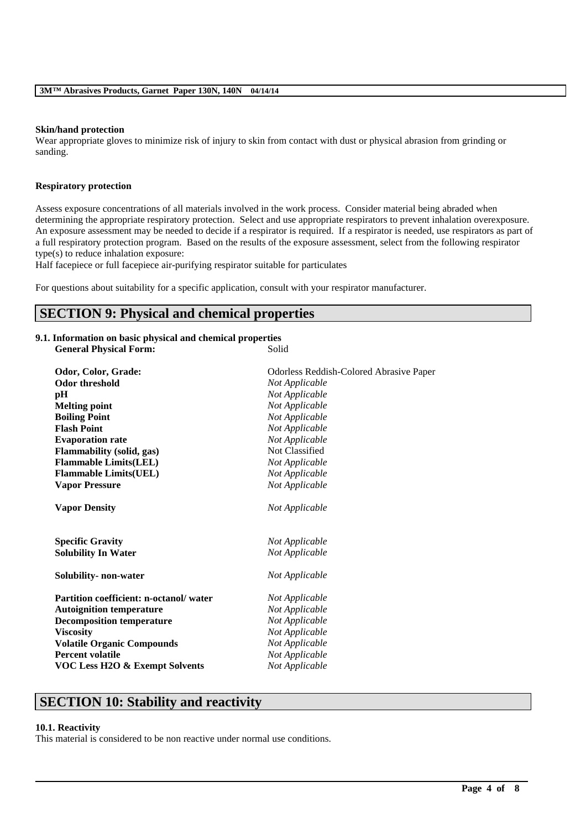### **Skin/hand protection**

Wear appropriate gloves to minimize risk of injury to skin from contact with dust or physical abrasion from grinding or sanding.

### **Respiratory protection**

Assess exposure concentrations of all materials involved in the work process. Consider material being abraded when determining the appropriate respiratory protection. Select and use appropriate respirators to prevent inhalation overexposure. An exposure assessment may be needed to decide if a respirator is required. If a respirator is needed, use respirators as part of a full respiratory protection program. Based on the results of the exposure assessment, select from the following respirator type(s) to reduce inhalation exposure:

Half facepiece or full facepiece air-purifying respirator suitable for particulates

For questions about suitability for a specific application, consult with your respirator manufacturer.

# **SECTION 9: Physical and chemical properties**

### **9.1. Information on basic physical and chemical properties**

| <b>General Physical Form:</b>                                | Solid                                                     |  |  |  |  |  |
|--------------------------------------------------------------|-----------------------------------------------------------|--|--|--|--|--|
|                                                              |                                                           |  |  |  |  |  |
| Odor, Color, Grade:<br><b>Odor threshold</b>                 | Odorless Reddish-Colored Abrasive Paper<br>Not Applicable |  |  |  |  |  |
|                                                              | Not Applicable                                            |  |  |  |  |  |
| pН<br><b>Melting point</b>                                   | Not Applicable                                            |  |  |  |  |  |
| <b>Boiling Point</b>                                         | Not Applicable                                            |  |  |  |  |  |
| <b>Flash Point</b>                                           | Not Applicable                                            |  |  |  |  |  |
|                                                              | Not Applicable                                            |  |  |  |  |  |
| <b>Evaporation rate</b>                                      | Not Classified                                            |  |  |  |  |  |
| Flammability (solid, gas)                                    | Not Applicable                                            |  |  |  |  |  |
| <b>Flammable Limits(LEL)</b><br><b>Flammable Limits(UEL)</b> | Not Applicable                                            |  |  |  |  |  |
| <b>Vapor Pressure</b>                                        | Not Applicable                                            |  |  |  |  |  |
|                                                              |                                                           |  |  |  |  |  |
| <b>Vapor Density</b>                                         | Not Applicable                                            |  |  |  |  |  |
|                                                              |                                                           |  |  |  |  |  |
| <b>Specific Gravity</b>                                      | Not Applicable                                            |  |  |  |  |  |
| <b>Solubility In Water</b>                                   | Not Applicable                                            |  |  |  |  |  |
| Solubility- non-water                                        | Not Applicable                                            |  |  |  |  |  |
| Partition coefficient: n-octanol/water                       | Not Applicable                                            |  |  |  |  |  |
| <b>Autoignition temperature</b>                              | Not Applicable                                            |  |  |  |  |  |
| <b>Decomposition temperature</b>                             | Not Applicable                                            |  |  |  |  |  |
| <b>Viscosity</b>                                             | Not Applicable                                            |  |  |  |  |  |
| <b>Volatile Organic Compounds</b>                            | Not Applicable                                            |  |  |  |  |  |
| <b>Percent volatile</b>                                      | Not Applicable                                            |  |  |  |  |  |
| <b>VOC Less H2O &amp; Exempt Solvents</b>                    | Not Applicable                                            |  |  |  |  |  |
|                                                              |                                                           |  |  |  |  |  |

\_\_\_\_\_\_\_\_\_\_\_\_\_\_\_\_\_\_\_\_\_\_\_\_\_\_\_\_\_\_\_\_\_\_\_\_\_\_\_\_\_\_\_\_\_\_\_\_\_\_\_\_\_\_\_\_\_\_\_\_\_\_\_\_\_\_\_\_\_\_\_\_\_\_\_\_\_\_\_\_\_\_\_\_\_\_\_\_\_\_

# **SECTION 10: Stability and reactivity**

### **10.1. Reactivity**

This material is considered to be non reactive under normal use conditions.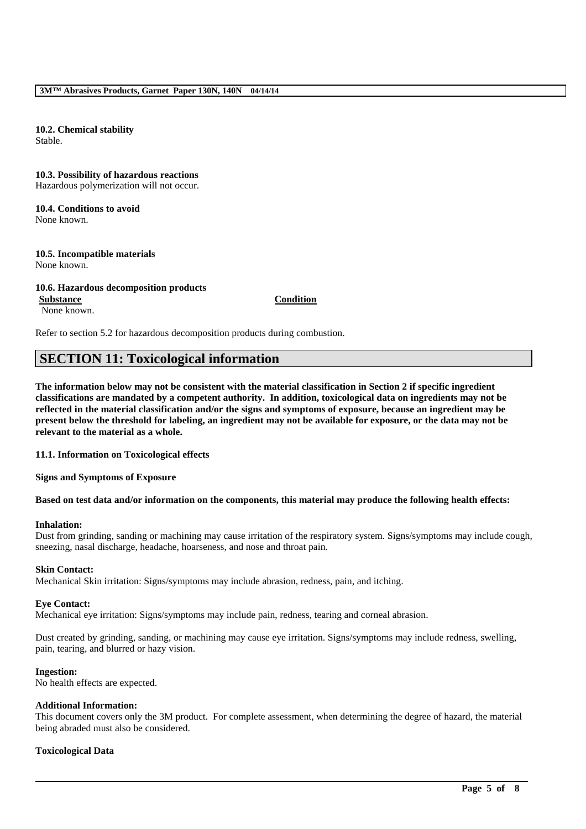**10.2. Chemical stability** Stable.

# **10.3. Possibility of hazardous reactions**

Hazardous polymerization will not occur.

### **10.4. Conditions to avoid** None known.

#### **10.5. Incompatible materials** None known.

# **10.6. Hazardous decomposition products Substance Condition**

None known.

Refer to section 5.2 for hazardous decomposition products during combustion.

# **SECTION 11: Toxicological information**

**The information below may not be consistent with the material classification in Section 2 if specific ingredient classifications are mandated by a competent authority. In addition, toxicological data on ingredients may not be reflected in the material classification and/or the signs and symptoms of exposure, because an ingredient may be present below the threshold for labeling, an ingredient may not be available for exposure, or the data may not be relevant to the material as a whole.**

### **11.1. Information on Toxicological effects**

**Signs and Symptoms of Exposure**

# **Based on test data and/or information on the components, this material may produce the following health effects:**

### **Inhalation:**

Dust from grinding, sanding or machining may cause irritation of the respiratory system. Signs/symptoms may include cough, sneezing, nasal discharge, headache, hoarseness, and nose and throat pain.

### **Skin Contact:**

Mechanical Skin irritation: Signs/symptoms may include abrasion, redness, pain, and itching.

# **Eye Contact:**

Mechanical eye irritation: Signs/symptoms may include pain, redness, tearing and corneal abrasion.

Dust created by grinding, sanding, or machining may cause eye irritation. Signs/symptoms may include redness, swelling, pain, tearing, and blurred or hazy vision.

### **Ingestion:**

No health effects are expected.

## **Additional Information:**

This document covers only the 3M product. For complete assessment, when determining the degree of hazard, the material being abraded must also be considered.

\_\_\_\_\_\_\_\_\_\_\_\_\_\_\_\_\_\_\_\_\_\_\_\_\_\_\_\_\_\_\_\_\_\_\_\_\_\_\_\_\_\_\_\_\_\_\_\_\_\_\_\_\_\_\_\_\_\_\_\_\_\_\_\_\_\_\_\_\_\_\_\_\_\_\_\_\_\_\_\_\_\_\_\_\_\_\_\_\_\_

# **Toxicological Data**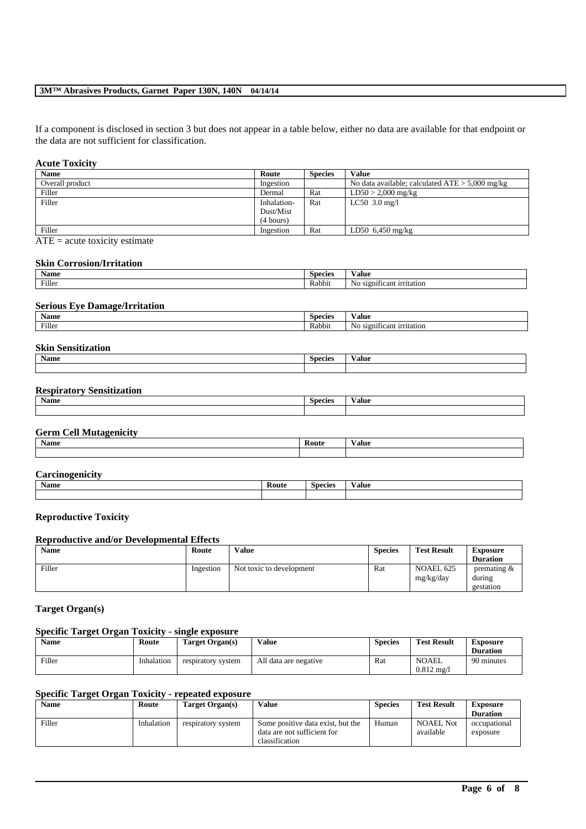## **3M™ Abrasives Products, Garnet Paper 130N, 140N 04/14/14**

If a component is disclosed in section 3 but does not appear in a table below, either no data are available for that endpoint or the data are not sufficient for classification.

## **Acute Toxicity**

| <b>Name</b>     | Route       | <b>Species</b> | <b>Value</b>                                      |
|-----------------|-------------|----------------|---------------------------------------------------|
| Overall product | Ingestion   |                | No data available; calculated $ATE > 5,000$ mg/kg |
| Filler          | Dermal      | Rat            | $LD50 > 2,000$ mg/kg                              |
| Filler          | Inhalation- | Rat            | $LC50$ 3.0 mg/l                                   |
|                 | Dust/Mist   |                |                                                   |
|                 | (4 hours)   |                |                                                   |
| Filler          | Ingestion   | Rat            | LD50 $6,450$ mg/kg                                |

 $\overline{ATE}$  = acute toxicity estimate

#### **Skin Corrosion/Irritation**

| $\cdot$<br>Name | <b>Species</b> | Value                                     |
|-----------------|----------------|-------------------------------------------|
| Filler          | Rabbit         | No<br><b>S12011</b><br>ificant irritation |

### **Serious Eye Damage/Irritation**

| $\ddot{\phantom{1}}$<br><b>Name</b> | $\sim$<br><b>Species</b> | Value                                        |
|-------------------------------------|--------------------------|----------------------------------------------|
| Filler                              | . .<br>Rabbit            | $\sim$<br>No<br>: irritation<br><b>S1201</b> |

#### **Skin Sensitization**

| Name | <b>Species</b> | √alue |
|------|----------------|-------|
|      |                |       |

# **Respiratory Sensitization**

| Name | <b>Species</b> | - -<br>⁄ alue |
|------|----------------|---------------|
|      |                |               |

# **Germ Cell Mutagenicity**

| <b>Name</b> | $\sim$<br>Route | $\cdot$ $\cdot$<br>√alue |
|-------------|-----------------|--------------------------|
|             |                 |                          |

| $\sim$<br>$\sim$ $\sim$ $\sim$ $\sim$<br>$\sim$ $\sim$ $\sim$ $\sim$ $\sim$ $\sim$ $\sim$<br>$   -$ |       |               |                |
|-----------------------------------------------------------------------------------------------------|-------|---------------|----------------|
| Name                                                                                                | Route | Species<br>v. | $-1$<br>⁄ alue |
|                                                                                                     |       |               |                |

## **Reproductive Toxicity**

## **Reproductive and/or Developmental Effects**

| Name   | Route     | Value                    | <b>Species</b> | <b>Test Result</b>     | <b>Exposure</b><br><b>Duration</b>   |
|--------|-----------|--------------------------|----------------|------------------------|--------------------------------------|
| Filler | Ingestion | Not toxic to development | Rat            | NOAEL 625<br>mg/kg/day | premating $&$<br>during<br>gestation |

# **Target Organ(s)**

## **Specific Target Organ Toxicity - single exposure**

| Name   | Route      | Target Organ(s)    | Value                 | <b>Species</b> | <b>Test Result</b>                    | Exposure<br><b>Duration</b> |
|--------|------------|--------------------|-----------------------|----------------|---------------------------------------|-----------------------------|
| Filler | Inhalation | respiratory system | All data are negative | Rat            | <b>NOAEL</b><br>$0.812 \text{ m}$ g/i | 90 minutes                  |

# **Specific Target Organ Toxicity - repeated exposure**

| <b>Name</b> | Route      | Target Organ(s)    | Value                                                                              | <b>Species</b> | <b>Test Result</b>            | Exposure                 |
|-------------|------------|--------------------|------------------------------------------------------------------------------------|----------------|-------------------------------|--------------------------|
|             |            |                    |                                                                                    |                |                               | <b>Duration</b>          |
| Filler      | Inhalation | respiratory system | Some positive data exist, but the<br>data are not sufficient for<br>classification | Human          | <b>NOAEL Not</b><br>available | occupational<br>exposure |

\_\_\_\_\_\_\_\_\_\_\_\_\_\_\_\_\_\_\_\_\_\_\_\_\_\_\_\_\_\_\_\_\_\_\_\_\_\_\_\_\_\_\_\_\_\_\_\_\_\_\_\_\_\_\_\_\_\_\_\_\_\_\_\_\_\_\_\_\_\_\_\_\_\_\_\_\_\_\_\_\_\_\_\_\_\_\_\_\_\_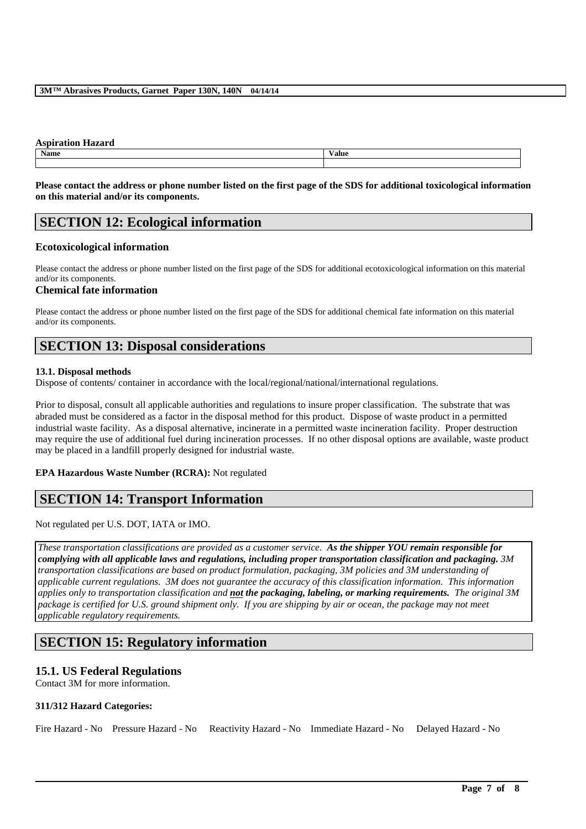#### **Aspiration Hazard**

| <b>Name</b> | Value |
|-------------|-------|
|             |       |
|             |       |

**Please contact the address or phone number listed on the first page of the SDS for additional toxicological information on this material and/or its components.**

# **SECTION 12: Ecological information**

# **Ecotoxicological information**

Please contact the address or phone number listed on the first page of the SDS for additional ecotoxicological information on this material and/or its components.

### **Chemical fate information**

Please contact the address or phone number listed on the first page of the SDS for additional chemical fate information on this material and/or its components.

# **SECTION 13: Disposal considerations**

### **13.1. Disposal methods**

Dispose of contents/ container in accordance with the local/regional/national/international regulations.

Prior to disposal, consult all applicable authorities and regulations to insure proper classification. The substrate that was abraded must be considered as a factor in the disposal method for this product. Dispose of waste product in a permitted industrial waste facility. As a disposal alternative, incinerate in a permitted waste incineration facility. Proper destruction may require the use of additional fuel during incineration processes. If no other disposal options are available, waste product may be placed in a landfill properly designed for industrial waste.

# **EPA Hazardous Waste Number (RCRA):** Not regulated

# **SECTION 14: Transport Information**

Not regulated per U.S. DOT, IATA or IMO.

*These transportation classifications are provided as a customer service. As the shipper YOU remain responsible for complying with all applicable laws and regulations, including proper transportation classification and packaging. 3M transportation classifications are based on product formulation, packaging, 3M policies and 3M understanding of applicable current regulations. 3M does not guarantee the accuracy of this classification information. This information applies only to transportation classification and not the packaging, labeling, or marking requirements. The original 3M package is certified for U.S. ground shipment only. If you are shipping by air or ocean, the package may not meet applicable regulatory requirements.* 

# **SECTION 15: Regulatory information**

# **15.1. US Federal Regulations**

Contact 3M for more information.

# **311/312 Hazard Categories:**

Fire Hazard - No Pressure Hazard - No Reactivity Hazard - No Immediate Hazard - No Delayed Hazard - No

\_\_\_\_\_\_\_\_\_\_\_\_\_\_\_\_\_\_\_\_\_\_\_\_\_\_\_\_\_\_\_\_\_\_\_\_\_\_\_\_\_\_\_\_\_\_\_\_\_\_\_\_\_\_\_\_\_\_\_\_\_\_\_\_\_\_\_\_\_\_\_\_\_\_\_\_\_\_\_\_\_\_\_\_\_\_\_\_\_\_